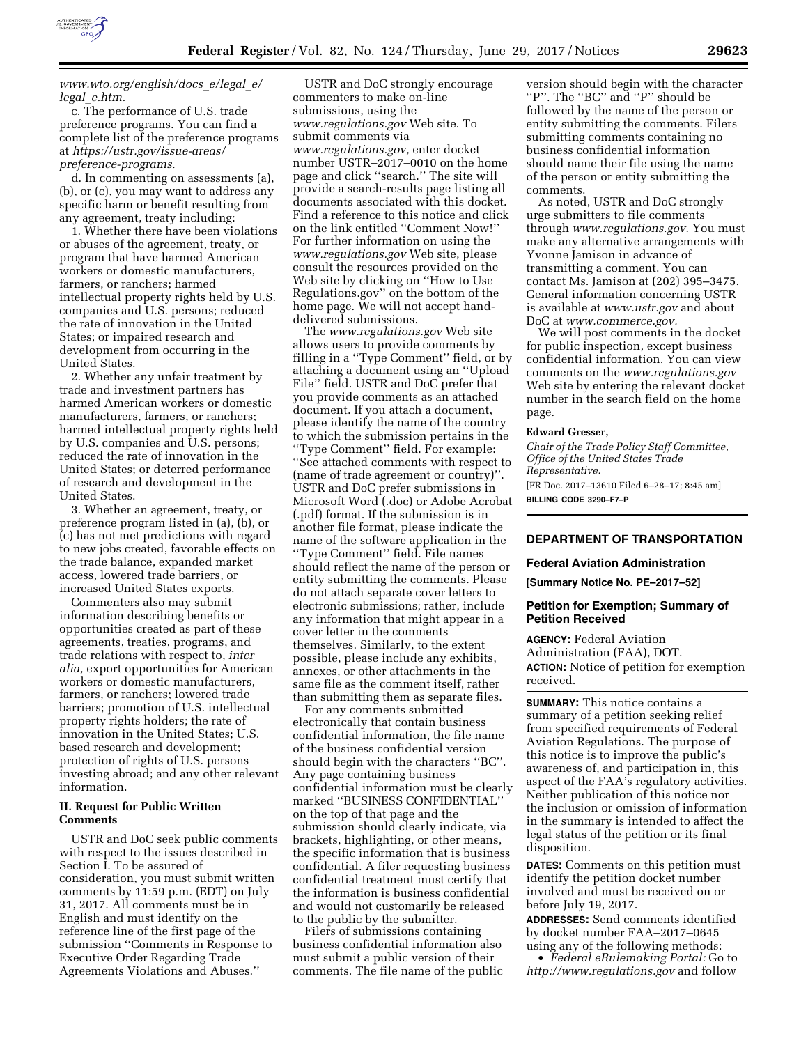

## *[www.wto.org/english/docs](http://www.wto.org/english/docs_e/legal_e/legal_e.htm)*\_*e/legal*\_*e/ legal*\_*[e.htm.](http://www.wto.org/english/docs_e/legal_e/legal_e.htm)*

c. The performance of U.S. trade preference programs. You can find a complete list of the preference programs at *[https://ustr.gov/issue-areas/](https://ustr.gov/issue-areas/preference-programs)  [preference-programs.](https://ustr.gov/issue-areas/preference-programs)* 

d. In commenting on assessments (a), (b), or (c), you may want to address any specific harm or benefit resulting from any agreement, treaty including:

1. Whether there have been violations or abuses of the agreement, treaty, or program that have harmed American workers or domestic manufacturers, farmers, or ranchers; harmed intellectual property rights held by U.S. companies and U.S. persons; reduced the rate of innovation in the United States; or impaired research and development from occurring in the United States.

2. Whether any unfair treatment by trade and investment partners has harmed American workers or domestic manufacturers, farmers, or ranchers; harmed intellectual property rights held by U.S. companies and U.S. persons; reduced the rate of innovation in the United States; or deterred performance of research and development in the United States.

3. Whether an agreement, treaty, or preference program listed in (a), (b), or (c) has not met predictions with regard to new jobs created, favorable effects on the trade balance, expanded market access, lowered trade barriers, or increased United States exports.

Commenters also may submit information describing benefits or opportunities created as part of these agreements, treaties, programs, and trade relations with respect to, *inter alia,* export opportunities for American workers or domestic manufacturers, farmers, or ranchers; lowered trade barriers; promotion of U.S. intellectual property rights holders; the rate of innovation in the United States; U.S. based research and development; protection of rights of U.S. persons investing abroad; and any other relevant information.

## **II. Request for Public Written Comments**

USTR and DoC seek public comments with respect to the issues described in Section I. To be assured of consideration, you must submit written comments by 11:59 p.m. (EDT) on July 31, 2017. All comments must be in English and must identify on the reference line of the first page of the submission ''Comments in Response to Executive Order Regarding Trade Agreements Violations and Abuses.''

USTR and DoC strongly encourage commenters to make on-line submissions, using the *[www.regulations.gov](http://www.regulations.gov)* Web site. To submit comments via *[www.regulations.gov,](http://www.regulations.gov)* enter docket number USTR–2017–0010 on the home page and click ''search.'' The site will provide a search-results page listing all documents associated with this docket. Find a reference to this notice and click on the link entitled ''Comment Now!'' For further information on using the *[www.regulations.gov](http://www.regulations.gov)* Web site, please consult the resources provided on the Web site by clicking on ''How to Use Regulations.gov'' on the bottom of the home page. We will not accept handdelivered submissions.

The *[www.regulations.gov](http://www.regulations.gov)* Web site allows users to provide comments by filling in a ''Type Comment'' field, or by attaching a document using an ''Upload File'' field. USTR and DoC prefer that you provide comments as an attached document. If you attach a document, please identify the name of the country to which the submission pertains in the ''Type Comment'' field. For example: ''See attached comments with respect to (name of trade agreement or country)''. USTR and DoC prefer submissions in Microsoft Word (.doc) or Adobe Acrobat (.pdf) format. If the submission is in another file format, please indicate the name of the software application in the ''Type Comment'' field. File names should reflect the name of the person or entity submitting the comments. Please do not attach separate cover letters to electronic submissions; rather, include any information that might appear in a cover letter in the comments themselves. Similarly, to the extent possible, please include any exhibits, annexes, or other attachments in the same file as the comment itself, rather than submitting them as separate files.

For any comments submitted electronically that contain business confidential information, the file name of the business confidential version should begin with the characters ''BC''. Any page containing business confidential information must be clearly marked ''BUSINESS CONFIDENTIAL'' on the top of that page and the submission should clearly indicate, via brackets, highlighting, or other means, the specific information that is business confidential. A filer requesting business confidential treatment must certify that the information is business confidential and would not customarily be released to the public by the submitter.

Filers of submissions containing business confidential information also must submit a public version of their comments. The file name of the public

version should begin with the character "P". The "BC" and "P" should be followed by the name of the person or entity submitting the comments. Filers submitting comments containing no business confidential information should name their file using the name of the person or entity submitting the comments.

As noted, USTR and DoC strongly urge submitters to file comments through *[www.regulations.gov.](http://www.regulations.gov)* You must make any alternative arrangements with Yvonne Jamison in advance of transmitting a comment. You can contact Ms. Jamison at (202) 395–3475. General information concerning USTR is available at *[www.ustr.gov](http://www.ustr.gov)* and about DoC at *[www.commerce.gov.](http://www.commerce.gov)* 

We will post comments in the docket for public inspection, except business confidential information. You can view comments on the *[www.regulations.gov](http://www.regulations.gov)*  Web site by entering the relevant docket number in the search field on the home page.

#### **Edward Gresser,**

*Chair of the Trade Policy Staff Committee, Office of the United States Trade Representative.*  [FR Doc. 2017–13610 Filed 6–28–17; 8:45 am] **BILLING CODE 3290–F7–P** 

### **DEPARTMENT OF TRANSPORTATION**

#### **Federal Aviation Administration**

**[Summary Notice No. PE–2017–52]** 

#### **Petition for Exemption; Summary of Petition Received**

**AGENCY:** Federal Aviation Administration (FAA), DOT. **ACTION:** Notice of petition for exemption received.

**SUMMARY:** This notice contains a summary of a petition seeking relief from specified requirements of Federal Aviation Regulations. The purpose of this notice is to improve the public's awareness of, and participation in, this aspect of the FAA's regulatory activities. Neither publication of this notice nor the inclusion or omission of information in the summary is intended to affect the legal status of the petition or its final disposition.

**DATES:** Comments on this petition must identify the petition docket number involved and must be received on or before July 19, 2017.

**ADDRESSES:** Send comments identified by docket number FAA–2017–0645 using any of the following methods:

• *Federal eRulemaking Portal:* Go to *<http://www.regulations.gov>* and follow